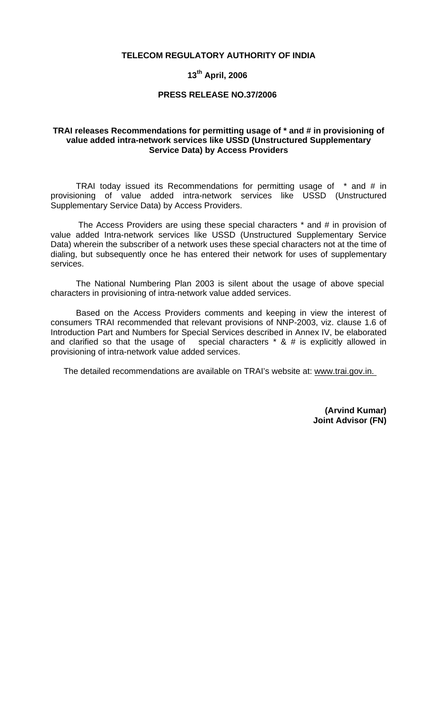# **TELECOM REGULATORY AUTHORITY OF INDIA**

# **13th April, 2006**

#### **PRESS RELEASE NO.37/2006**

# **TRAI releases Recommendations for permitting usage of \* and # in provisioning of value added intra-network services like USSD (Unstructured Supplementary Service Data) by Access Providers**

TRAI today issued its Recommendations for permitting usage of \* and # in provisioning of value added intra-network services like USSD (Unstructured Supplementary Service Data) by Access Providers.

 The Access Providers are using these special characters \* and # in provision of value added Intra-network services like USSD (Unstructured Supplementary Service Data) wherein the subscriber of a network uses these special characters not at the time of dialing, but subsequently once he has entered their network for uses of supplementary services.

The National Numbering Plan 2003 is silent about the usage of above special characters in provisioning of intra-network value added services.

 Based on the Access Providers comments and keeping in view the interest of consumers TRAI recommended that relevant provisions of NNP-2003, viz. clause 1.6 of Introduction Part and Numbers for Special Services described in Annex IV, be elaborated and clarified so that the usage of special characters \* & # is explicitly allowed in provisioning of intra-network value added services.

The detailed recommendations are available on TRAI's website at: www.trai.gov.in.

**(Arvind Kumar) Joint Advisor (FN)**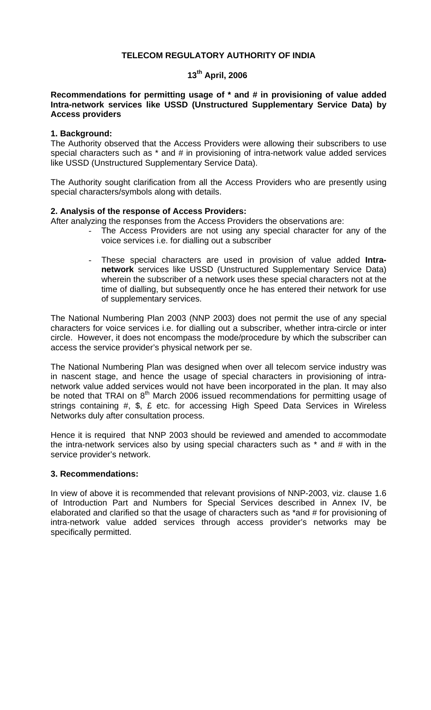# **TELECOM REGULATORY AUTHORITY OF INDIA**

# **13th April, 2006**

# **Recommendations for permitting usage of \* and # in provisioning of value added Intra-network services like USSD (Unstructured Supplementary Service Data) by Access providers**

# **1. Background:**

The Authority observed that the Access Providers were allowing their subscribers to use special characters such as \* and # in provisioning of intra-network value added services like USSD (Unstructured Supplementary Service Data).

The Authority sought clarification from all the Access Providers who are presently using special characters/symbols along with details.

# **2. Analysis of the response of Access Providers:**

After analyzing the responses from the Access Providers the observations are:

- The Access Providers are not using any special character for any of the voice services i.e. for dialling out a subscriber
- These special characters are used in provision of value added **Intranetwork** services like USSD (Unstructured Supplementary Service Data) wherein the subscriber of a network uses these special characters not at the time of dialling, but subsequently once he has entered their network for use of supplementary services.

The National Numbering Plan 2003 (NNP 2003) does not permit the use of any special characters for voice services i.e. for dialling out a subscriber, whether intra-circle or inter circle. However, it does not encompass the mode/procedure by which the subscriber can access the service provider's physical network per se.

The National Numbering Plan was designed when over all telecom service industry was in nascent stage, and hence the usage of special characters in provisioning of intranetwork value added services would not have been incorporated in the plan. It may also be noted that TRAI on  $8<sup>th</sup>$  March 2006 issued recommendations for permitting usage of strings containing #, \$, £ etc. for accessing High Speed Data Services in Wireless Networks duly after consultation process.

Hence it is required that NNP 2003 should be reviewed and amended to accommodate the intra-network services also by using special characters such as \* and # with in the service provider's network.

# **3. Recommendations:**

In view of above it is recommended that relevant provisions of NNP-2003, viz. clause 1.6 of Introduction Part and Numbers for Special Services described in Annex IV, be elaborated and clarified so that the usage of characters such as \*and # for provisioning of intra-network value added services through access provider's networks may be specifically permitted.